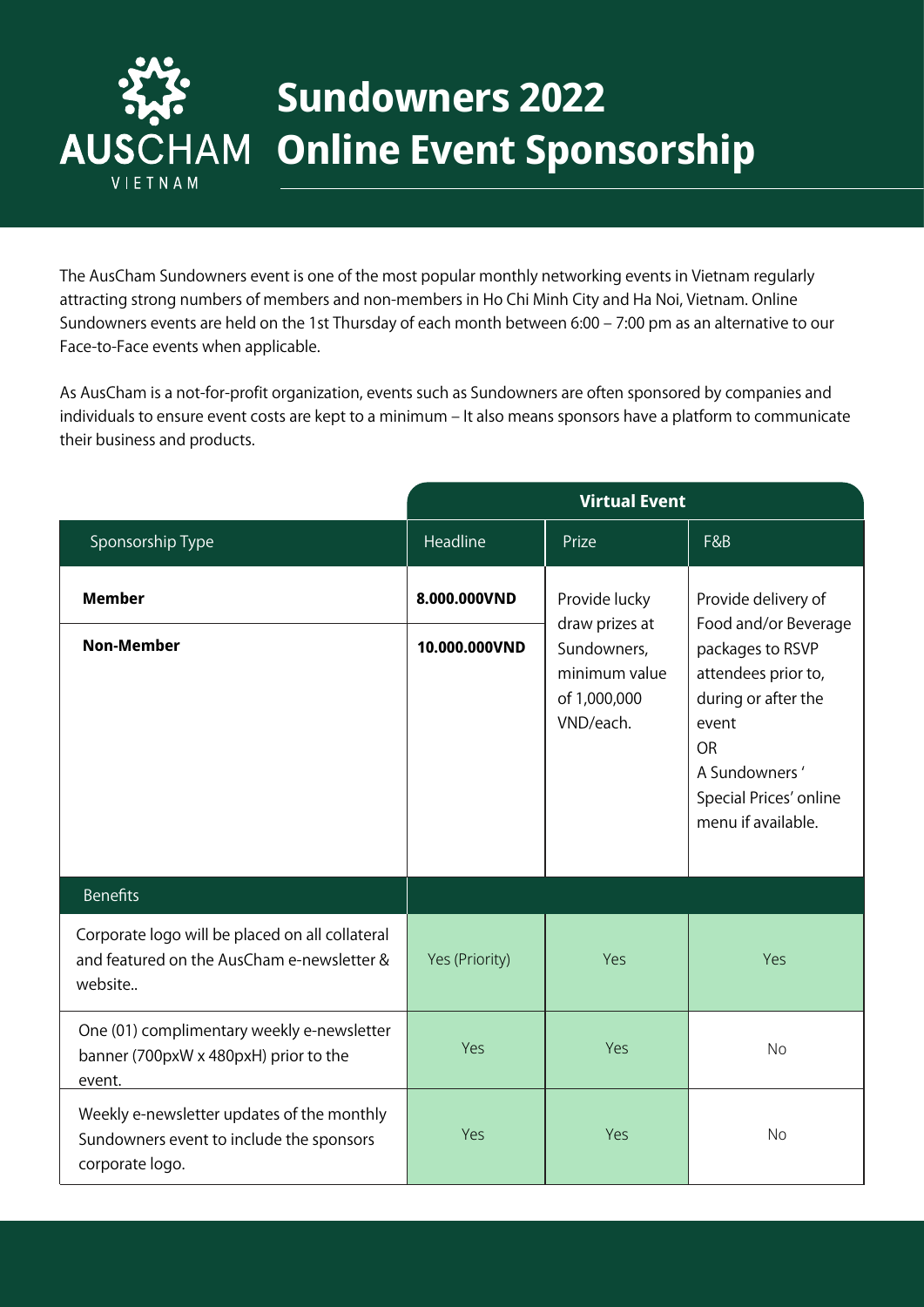

## **Sundowners 2022 Online Event Sponsorship**

The AusCham Sundowners event is one of the most popular monthly networking events in Vietnam regularly attracting strong numbers of members and non-members in Ho Chi Minh City and Ha Noi, Vietnam. Online Sundowners events are held on the 1st Thursday of each month between 6:00 – 7:00 pm as an alternative to our Face-to-Face events when applicable.

As AusCham is a not-for-profit organization, events such as Sundowners are often sponsored by companies and individuals to ensure event costs are kept to a minimum - It also means sponsors have a platform to communicate their business and products.

|                                                                                                           | <b>Virtual Event</b> |                                                                                              |                                                                                                                                                                                                      |
|-----------------------------------------------------------------------------------------------------------|----------------------|----------------------------------------------------------------------------------------------|------------------------------------------------------------------------------------------------------------------------------------------------------------------------------------------------------|
| Sponsorship Type                                                                                          | Headline             | Prize                                                                                        | F&B                                                                                                                                                                                                  |
| <b>Member</b>                                                                                             | 8.000.000VND         | Provide lucky<br>draw prizes at<br>Sundowners,<br>minimum value<br>of 1,000,000<br>VND/each. | Provide delivery of<br>Food and/or Beverage<br>packages to RSVP<br>attendees prior to,<br>during or after the<br>event<br><b>OR</b><br>A Sundowners'<br>Special Prices' online<br>menu if available. |
| <b>Non-Member</b>                                                                                         | 10.000.000VND        |                                                                                              |                                                                                                                                                                                                      |
| <b>Benefits</b>                                                                                           |                      |                                                                                              |                                                                                                                                                                                                      |
| Corporate logo will be placed on all collateral<br>and featured on the AusCham e-newsletter &<br>website  | Yes (Priority)       | Yes                                                                                          | Yes                                                                                                                                                                                                  |
| One (01) complimentary weekly e-newsletter<br>banner (700pxW x 480pxH) prior to the<br>event.             | Yes                  | Yes                                                                                          | <b>No</b>                                                                                                                                                                                            |
| Weekly e-newsletter updates of the monthly<br>Sundowners event to include the sponsors<br>corporate logo. | Yes                  | Yes                                                                                          | <b>No</b>                                                                                                                                                                                            |